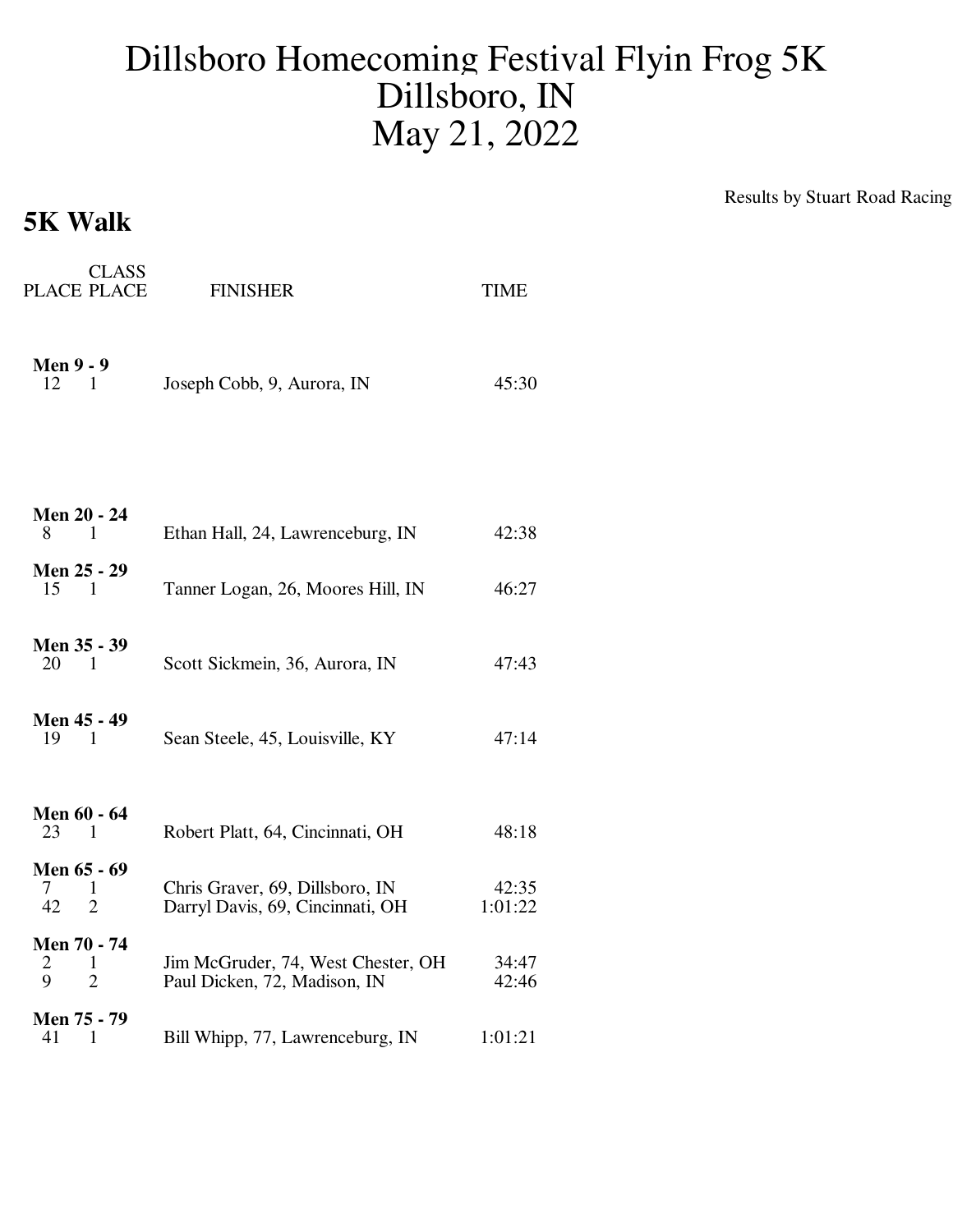## Dillsboro Homecoming Festival Flyin Frog 5K Dillsboro, IN May 21, 2022

## **5K Walk**

Results by Stuart Road Racing

| <b>CLASS</b><br>PLACE PLACE                   | <b>FINISHER</b>                                                     | <b>TIME</b>      |
|-----------------------------------------------|---------------------------------------------------------------------|------------------|
| <b>Men 9 - 9</b><br>12<br>$\blacksquare$      | Joseph Cobb, 9, Aurora, IN                                          | 45:30            |
|                                               |                                                                     |                  |
| Men 20 - 24<br>8<br>$\mathbf{1}$              | Ethan Hall, 24, Lawrenceburg, IN                                    | 42:38            |
| Men 25 - 29<br>15<br>$\blacksquare$           | Tanner Logan, 26, Moores Hill, IN                                   | 46:27            |
| Men 35 - 39<br>20 1                           | Scott Sickmein, 36, Aurora, IN                                      | 47:43            |
| Men 45 - 49<br>19<br>$\overline{1}$           | Sean Steele, 45, Louisville, KY                                     | 47:14            |
| Men 60 - 64<br>23<br>1                        | Robert Platt, 64, Cincinnati, OH                                    | 48:18            |
| Men 65 - 69<br>1<br>7<br>42<br>$\overline{2}$ | Chris Graver, 69, Dillsboro, IN<br>Darryl Davis, 69, Cincinnati, OH | 42:35<br>1:01:22 |
| Men 70 - 74<br>2<br>1<br>9<br>$\overline{2}$  | Jim McGruder, 74, West Chester, OH<br>Paul Dicken, 72, Madison, IN  | 34:47<br>42:46   |
| Men 75 - 79<br>41<br>$\mathbf{1}$             | Bill Whipp, 77, Lawrenceburg, IN                                    | 1:01:21          |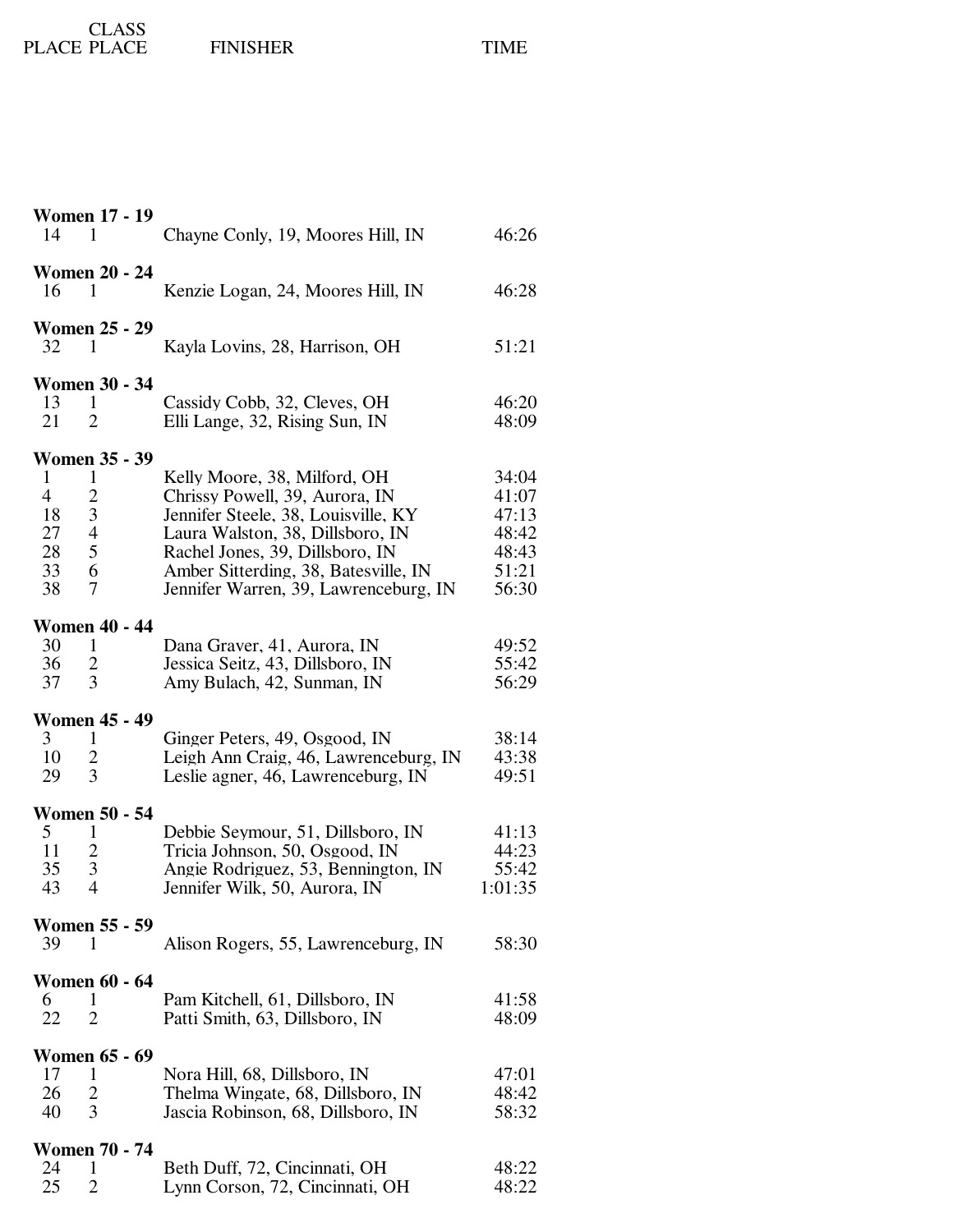## PLACE CLASS FINISHER TIME

| <b>Women 17 - 19</b><br>14<br>1                                                                                                                                | Chayne Conly, 19, Moores Hill, IN                                                                                                                                                                                                                             | 46:26                                                       |
|----------------------------------------------------------------------------------------------------------------------------------------------------------------|---------------------------------------------------------------------------------------------------------------------------------------------------------------------------------------------------------------------------------------------------------------|-------------------------------------------------------------|
| <b>Women 20 - 24</b><br>16<br>1                                                                                                                                | Kenzie Logan, 24, Moores Hill, IN                                                                                                                                                                                                                             | 46:28                                                       |
| <b>Women 25 - 29</b><br>32<br>$\mathbf{1}$                                                                                                                     | Kayla Lovins, 28, Harrison, OH                                                                                                                                                                                                                                | 51:21                                                       |
| <b>Women 30 - 34</b><br>13<br>$\mathbf{1}$<br>$\overline{2}$<br>21                                                                                             | Cassidy Cobb, 32, Cleves, OH<br>Elli Lange, 32, Rising Sun, IN                                                                                                                                                                                                | 46:20<br>48:09                                              |
| <b>Women 35 - 39</b><br>1<br>$\mathbf{1}$<br>$\overline{4}$<br>$\overline{c}$<br>$\mathfrak{Z}$<br>18<br>27<br>$\overline{4}$<br>28<br>5<br>33<br>6<br>38<br>7 | Kelly Moore, 38, Milford, OH<br>Chrissy Powell, 39, Aurora, IN<br>Jennifer Steele, 38, Louisville, KY<br>Laura Walston, 38, Dillsboro, IN<br>Rachel Jones, 39, Dillsboro, IN<br>Amber Sitterding, 38, Batesville, IN<br>Jennifer Warren, 39, Lawrenceburg, IN | 34:04<br>41:07<br>47:13<br>48:42<br>48:43<br>51:21<br>56:30 |
| <b>Women 40 - 44</b><br>30<br>1<br>36<br>$\overline{c}$<br>3<br>37                                                                                             | Dana Graver, 41, Aurora, IN<br>Jessica Seitz, 43, Dillsboro, IN<br>Amy Bulach, 42, Sunman, IN                                                                                                                                                                 | 49:52<br>55:42<br>56:29                                     |
| <b>Women 45 - 49</b><br>3 <sup>1</sup><br>$\mathbf{1}$<br>10<br>$\overline{c}$<br>3<br>29                                                                      | Ginger Peters, 49, Osgood, IN<br>Leigh Ann Craig, 46, Lawrenceburg, IN<br>Leslie agner, 46, Lawrenceburg, IN                                                                                                                                                  | 38:14<br>43:38<br>49:51                                     |
| <b>Women 50 - 54</b><br>5 <sup>5</sup><br>1<br>$\overline{c}$<br>11<br>35<br>3<br>43<br>$\overline{4}$                                                         | Debbie Seymour, 51, Dillsboro, IN<br>Tricia Johnson, 50, Osgood, IN<br>Angie Rodriguez, 53, Bennington, IN<br>Jennifer Wilk, 50, Aurora, IN                                                                                                                   | 41:13<br>44:23<br>55:42<br>1:01:35                          |
| <b>Women 55 - 59</b><br>39<br>1                                                                                                                                | Alison Rogers, 55, Lawrenceburg, IN                                                                                                                                                                                                                           | 58:30                                                       |
| <b>Women 60 - 64</b><br>6<br>1<br>22<br>$\overline{2}$                                                                                                         | Pam Kitchell, 61, Dillsboro, IN<br>Patti Smith, 63, Dillsboro, IN                                                                                                                                                                                             | 41:58<br>48:09                                              |
| <b>Women 65 - 69</b><br>17<br>1<br>26<br>$\overline{c}$<br>3<br>40                                                                                             | Nora Hill, 68, Dillsboro, IN<br>Thelma Wingate, 68, Dillsboro, IN<br>Jascia Robinson, 68, Dillsboro, IN                                                                                                                                                       | 47:01<br>48:42<br>58:32                                     |
| <b>Women 70 - 74</b><br>24<br>1<br>25<br>$\overline{2}$                                                                                                        | Beth Duff, 72, Cincinnati, OH<br>Lynn Corson, 72, Cincinnati, OH                                                                                                                                                                                              | 48:22<br>48:22                                              |